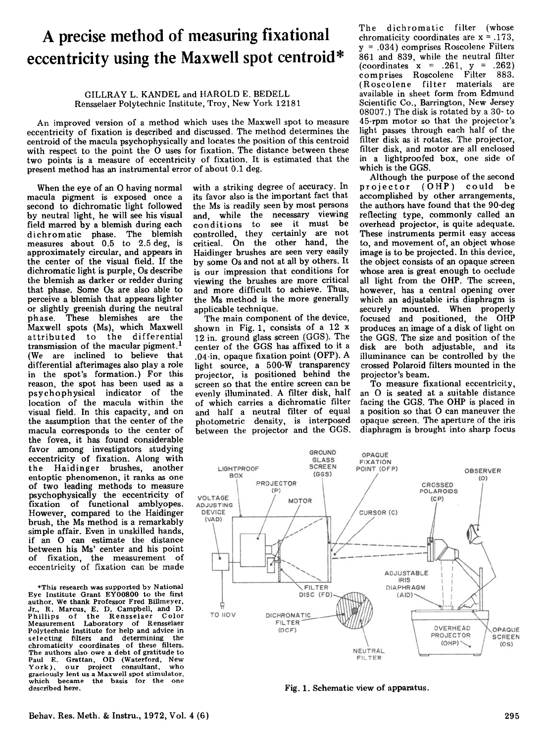## **A precise method of measuring fixational eccentricity using the Maxwell spot centroid\***

## GILLRAY L. KANDEL and HAROLD E. BEDELL Rensselaer Polytechnic Institute, Troy, New York 12181

An improved version of a method which uses the Maxwell spot to measure eccentricity of fixation is described and discussed. The method determines the centroid of the macula psychophysically and locates the position of this centroid with respect to the point the 0 uses for fixation. The distance between these two points is a measure of eccentricity of fixation. It is estimated that the present method has an instrumental error of about 0.1 deg.

When the eye of an 0 having normal macula pigment is exposed once a second to dichromatic light followed by neutral light, he will see his visual field marred by a blemish during each dichromatic phase. The blemish measures about 0.5 to 2.5 deg, is approximately circular, and appears in the center of the visual field. If the dichromatic light is purple, Os describe the blemish as darker or redder during that phase. Some Os are also able to perceive a blemish that appears lighter or slightly greenish during the neutral phase. These blemishes are the Maxwell spots (Ms), which Maxwell attributed to the differential transmission of the macular pigment. <sup>1</sup> (We are inclined to believe that differential afterimages also playa role in the spot's formation.) For this reason, the spot has been used as a psychophysical indicator of the location of the macula within the visual field. In this capacity, and on the assumption that the center of the macula corresponds to the center of the fovea, it has found considerable favor among investigators studying eccentricity of fixation. Along with the Haidinger brushes, another of two leading methods to measure<br>psychophysically the eccentricity of fixation of functional amblyopes. However, compared to the Haidinger brush, the Ms method is a remarkably simple affair. Even in unskilled hands, if an 0 can estimate the distance between his Ms' center and his point of fixation, the measurement of eccentricity of fixation can be made

\*This research was supported by National Eye Institute Grant EY00800 to the first author. We thank Professor Fred Billmeyer, Jr.. R. Marcus, E. D. Campbell, and D. Phillips of the Rensselaer Color Measurement Laboratory of Rensselaer Polytechnic Institute for help and advice in<br>selecting filters and determining the selecting filters and determining chromaticity coordinates of these filters. The authors also owe <sup>a</sup> debt of gratitude to Paul E. Grattan, OD (Waterford, New Paul E. Grattan, OD (Waterford, New<br>York), our project consultant, who graciously lent us a Maxwell spot stimulator, which became the basis for the one described here.

with a striking degree of accuracy. In its favor also is the important fact that the Ms is readily seen by most persons and, while the necessary viewing conditions to see it must be controlled, they certainly are not critical. On the other hand, the Haidinger brushes are seen very easily by some Os and not at all by others. It is our impression that conditions for viewing the brushes are more critical and more difficult to achieve. Thus, the Ms method is the more generally applicable technique.

The main component of the device, shown in Fig. 1, consists of a 12 x 12 in. ground glass screen (GGS). The center of the GGS has affixed to it a .04-in. opaque fixation point (OFP). A light source, a 500-W transparency projector, is positioned behind the screen so that the entire screen can be evenly illuminated. A filter disk, half of which carries a dichromatic filter and half a neutral filter of equal photometric density, is interposed between the projector and the GGS.

The dichromatic filter (whose chromaticity coordinates are  $x = .173$ , y = .034) comprises Roscolene Filters 861 and 839, while the neutral filter (coordinates  $x = .261, y = .262$ ) comprises Roscolene Filter 883. (Roscolene filter materials are available in sheet form from Edmund Scientific Co., Barrington, New Jersey 08007.) The disk is rotated by a 30- to 45-rpm motor so that the projector's light passes through each half of the filter disk as it rotates. The projector, filter disk, and motor are all enclosed in a lightproofed box, one side of which is the GGS.

Although the purpose of the second projector (OHP) could be accomplished by other arrangements, the authors have found that the 90-deg reflecting type, commonly called an overhead projector, is quite adequate. These instruments permit easy access to, and movement of, an object whose image is to be projected. In this device, the object consists of an opaque screen whose area is great enough to occlude all light from the OHP. The screen, however, has a central opening over which an adjustable iris diaphragm is securely mounted. When properly focused and positioned, the OHP produces an image of a disk of light on the GGS. The size and position of the disk are both adjustable, and its illuminance can be controlled by the crossed Polaroid filters mounted in the projector's beam.

To measure fixational eccentricity, an 0 is seated at a suitable distance facing the GGS. The OHP is placed in a position so that 0 can maneuver the opaque screen. The aperture of the iris diaphragm is brought into sharp focus



Fig. 1. Schematic view of apparatus.